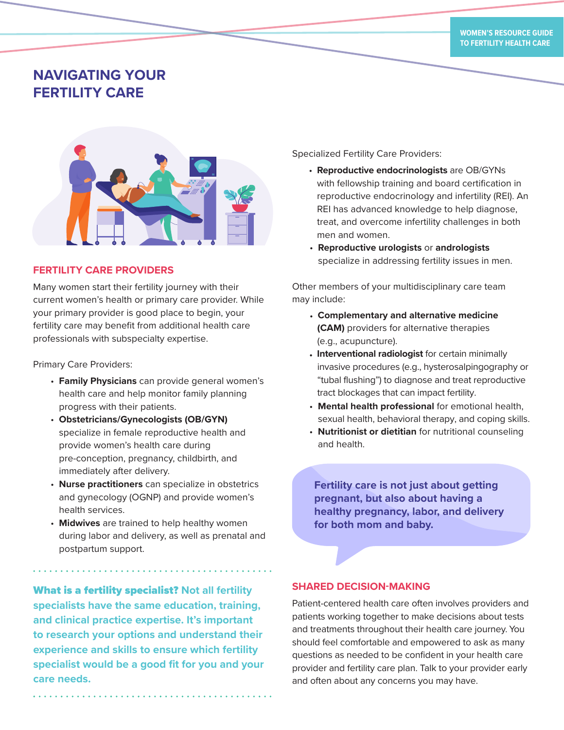# **NAVIGATING YOUR FERTILITY CARE**



## **FERTILITY CARE PROVIDERS**

Many women start their fertility journey with their current women's health or primary care provider. While your primary provider is good place to begin, your fertility care may benefit from additional health care professionals with subspecialty expertise.

Primary Care Providers:

- **Family Physicians** can provide general women's health care and help monitor family planning progress with their patients.
- **Obstetricians/Gynecologists (OB/GYN)** specialize in female reproductive health and provide women's health care during pre-conception, pregnancy, childbirth, and immediately after delivery.
- **Nurse practitioners** can specialize in obstetrics and gynecology (OGNP) and provide women's health services.
- **Midwives** are trained to help healthy women during labor and delivery, as well as prenatal and postpartum support.

What is a fertility specialist? **Not all fertility specialists have the same education, training, and clinical practice expertise. It's important to research your options and understand their experience and skills to ensure which fertility specialist would be a good fit for you and your care needs.**

Specialized Fertility Care Providers:

- **Reproductive endocrinologists** are OB/GYNs with fellowship training and board certification in reproductive endocrinology and infertility (REI). An REI has advanced knowledge to help diagnose, treat, and overcome infertility challenges in both men and women.
- **Reproductive urologists** or **andrologists** specialize in addressing fertility issues in men.

Other members of your multidisciplinary care team may include:

- **Complementary and alternative medicine (CAM)** providers for alternative therapies (e.g., acupuncture).
- **Interventional radiologist** for certain minimally invasive procedures (e.g., hysterosalpingography or "tubal flushing") to diagnose and treat reproductive tract blockages that can impact fertility.
- **Mental health professional** for emotional health, sexual health, behavioral therapy, and coping skills.
- **Nutritionist or dietitian** for nutritional counseling and health.

**Fertility care is not just about getting pregnant, but also about having a healthy pregnancy, labor, and delivery for both mom and baby.**

## **SHARED DECISION-MAKING**

Patient-centered health care often involves providers and patients working together to make decisions about tests and treatments throughout their health care journey. You should feel comfortable and empowered to ask as many questions as needed to be confident in your health care provider and fertility care plan. Talk to your provider early and often about any concerns you may have.